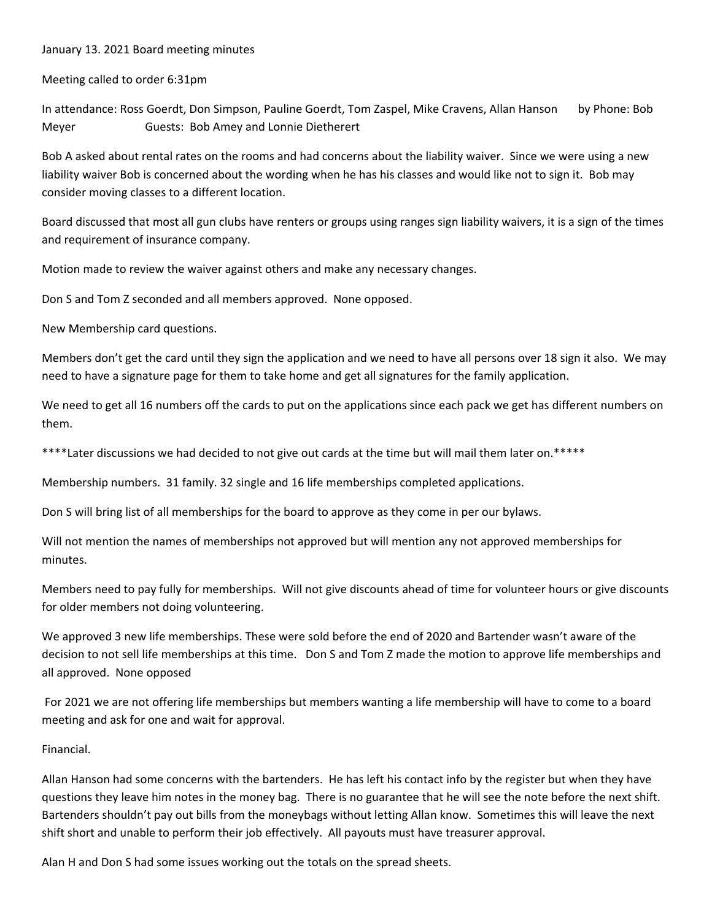## January 13. 2021 Board meeting minutes

Meeting called to order 6:31pm

In attendance: Ross Goerdt, Don Simpson, Pauline Goerdt, Tom Zaspel, Mike Cravens, Allan Hanson by Phone: Bob Meyer **Guests: Bob Amey and Lonnie Dietherert** 

Bob A asked about rental rates on the rooms and had concerns about the liability waiver. Since we were using a new liability waiver Bob is concerned about the wording when he has his classes and would like not to sign it. Bob may consider moving classes to a different location.

Board discussed that most all gun clubs have renters or groups using ranges sign liability waivers, it is a sign of the times and requirement of insurance company.

Motion made to review the waiver against others and make any necessary changes.

Don S and Tom Z seconded and all members approved. None opposed.

New Membership card questions.

Members don't get the card until they sign the application and we need to have all persons over 18 sign it also. We may need to have a signature page for them to take home and get all signatures for the family application.

We need to get all 16 numbers off the cards to put on the applications since each pack we get has different numbers on them.

\*\*\*\*Later discussions we had decided to not give out cards at the time but will mail them later on.\*\*\*\*\*

Membership numbers. 31 family. 32 single and 16 life memberships completed applications.

Don S will bring list of all memberships for the board to approve as they come in per our bylaws.

Will not mention the names of memberships not approved but will mention any not approved memberships for minutes.

Members need to pay fully for memberships. Will not give discounts ahead of time for volunteer hours or give discounts for older members not doing volunteering.

We approved 3 new life memberships. These were sold before the end of 2020 and Bartender wasn't aware of the decision to not sell life memberships at this time. Don S and Tom Z made the motion to approve life memberships and all approved. None opposed

 For 2021 we are not offering life memberships but members wanting a life membership will have to come to a board meeting and ask for one and wait for approval.

## Financial.

Allan Hanson had some concerns with the bartenders. He has left his contact info by the register but when they have questions they leave him notes in the money bag. There is no guarantee that he will see the note before the next shift. Bartenders shouldn't pay out bills from the moneybags without letting Allan know. Sometimes this will leave the next shift short and unable to perform their job effectively. All payouts must have treasurer approval.

Alan H and Don S had some issues working out the totals on the spread sheets.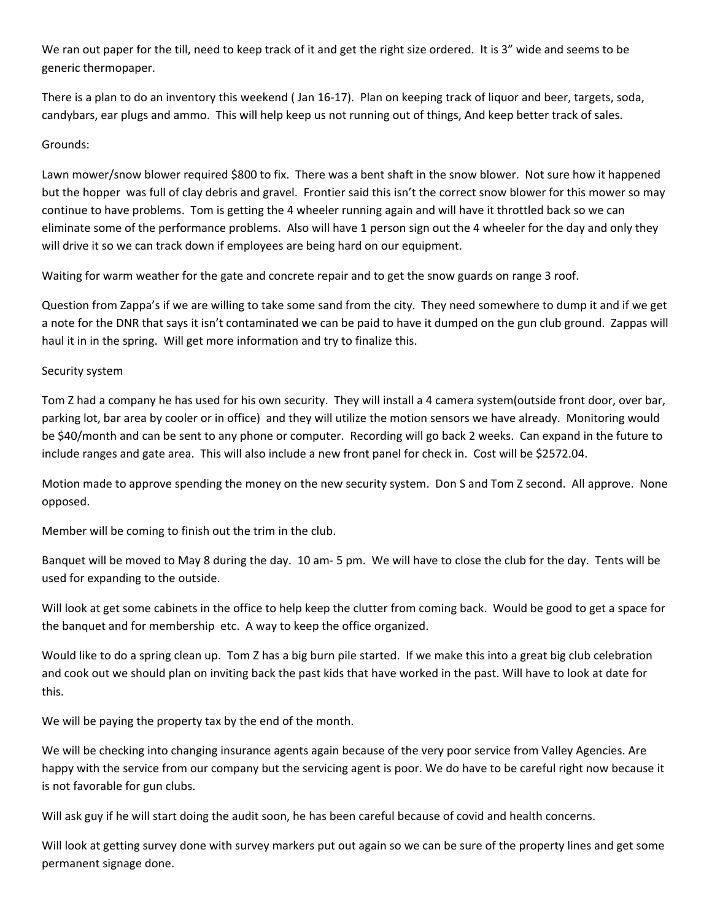We ran out paper for the till, need to keep track of it and get the right size ordered. It is 3" wide and seems to be generic thermopaper.

There is a plan to do an inventory this weekend ( Jan 16‐17). Plan on keeping track of liquor and beer, targets, soda, candybars, ear plugs and ammo. This will help keep us not running out of things, And keep better track of sales.

## Grounds:

Lawn mower/snow blower required \$800 to fix. There was a bent shaft in the snow blower. Not sure how it happened but the hopper was full of clay debris and gravel. Frontier said this isn't the correct snow blower for this mower so may continue to have problems. Tom is getting the 4 wheeler running again and will have it throttled back so we can eliminate some of the performance problems. Also will have 1 person sign out the 4 wheeler for the day and only they will drive it so we can track down if employees are being hard on our equipment.

Waiting for warm weather for the gate and concrete repair and to get the snow guards on range 3 roof.

Question from Zappa's if we are willing to take some sand from the city. They need somewhere to dump it and if we get a note for the DNR that says it isn't contaminated we can be paid to have it dumped on the gun club ground. Zappas will haul it in in the spring. Will get more information and try to finalize this.

## Security system

Tom Z had a company he has used for his own security. They will install a 4 camera system(outside front door, over bar, parking lot, bar area by cooler or in office) and they will utilize the motion sensors we have already. Monitoring would be \$40/month and can be sent to any phone or computer. Recording will go back 2 weeks. Can expand in the future to include ranges and gate area. This will also include a new front panel for check in. Cost will be \$2572.04.

Motion made to approve spending the money on the new security system. Don S and Tom Z second. All approve. None opposed.

Member will be coming to finish out the trim in the club.

Banquet will be moved to May 8 during the day. 10 am‐ 5 pm. We will have to close the club for the day. Tents will be used for expanding to the outside.

Will look at get some cabinets in the office to help keep the clutter from coming back. Would be good to get a space for the banquet and for membership etc. A way to keep the office organized.

Would like to do a spring clean up. Tom Z has a big burn pile started. If we make this into a great big club celebration and cook out we should plan on inviting back the past kids that have worked in the past. Will have to look at date for this.

We will be paying the property tax by the end of the month.

We will be checking into changing insurance agents again because of the very poor service from Valley Agencies. Are happy with the service from our company but the servicing agent is poor. We do have to be careful right now because it is not favorable for gun clubs.

Will ask guy if he will start doing the audit soon, he has been careful because of covid and health concerns.

Will look at getting survey done with survey markers put out again so we can be sure of the property lines and get some permanent signage done.